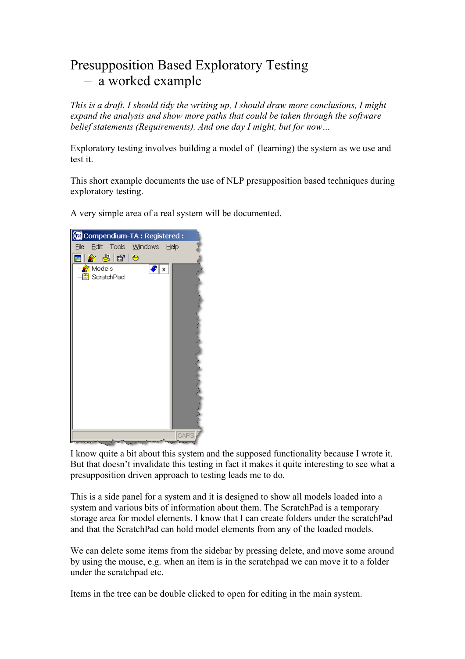# Presupposition Based Exploratory Testing – a worked example

*This is a draft. I should tidy the writing up, I should draw more conclusions, I might expand the analysis and show more paths that could be taken through the software belief statements (Requirements). And one day I might, but for now…* 

Exploratory testing involves building a model of (learning) the system as we use and test it.

This short example documents the use of NLP presupposition based techniques during exploratory testing.

A very simple area of a real system will be documented.



I know quite a bit about this system and the supposed functionality because I wrote it. But that doesn't invalidate this testing in fact it makes it quite interesting to see what a presupposition driven approach to testing leads me to do.

This is a side panel for a system and it is designed to show all models loaded into a system and various bits of information about them. The ScratchPad is a temporary storage area for model elements. I know that I can create folders under the scratchPad and that the ScratchPad can hold model elements from any of the loaded models.

We can delete some items from the sidebar by pressing delete, and move some around by using the mouse, e.g. when an item is in the scratchpad we can move it to a folder under the scratchpad etc.

Items in the tree can be double clicked to open for editing in the main system.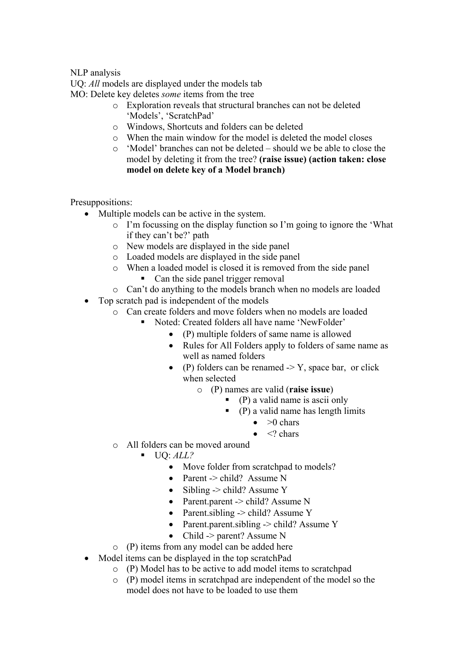#### NLP analysis

UQ: *All* models are displayed under the models tab

MO: Delete key deletes *some* items from the tree

- o Exploration reveals that structural branches can not be deleted 'Models', 'ScratchPad'
- o Windows, Shortcuts and folders can be deleted
- o When the main window for the model is deleted the model closes
- o 'Model' branches can not be deleted should we be able to close the model by deleting it from the tree? **(raise issue) (action taken: close model on delete key of a Model branch)**

Presuppositions:

- Multiple models can be active in the system.
	- o I'm focussing on the display function so I'm going to ignore the 'What if they can't be?' path
	- o New models are displayed in the side panel
	- o Loaded models are displayed in the side panel
	- o When a loaded model is closed it is removed from the side panel
		- Can the side panel trigger removal
	- o Can't do anything to the models branch when no models are loaded
- Top scratch pad is independent of the models
	- o Can create folders and move folders when no models are loaded
		- Noted: Created folders all have name 'NewFolder'
			- (P) multiple folders of same name is allowed
			- Rules for All Folders apply to folders of same name as well as named folders
			- (P) folders can be renamed  $\geq$  Y, space bar, or click when selected
				- o (P) names are valid (**raise issue**)
					- $\bullet$  (P) a valid name is ascii only
						- $\bullet$  (P) a valid name has length limits
							- $\bullet$   $>0$  chars
							- $\bullet \quad </math chars$
	- o All folders can be moved around
		- $\blacksquare$  UQ: *ALL*?
			- Move folder from scratchpad to models?
			- Parent -> child? Assume N
			- Sibling  $\rightarrow$  child? Assume Y
			- Parent.parent -> child? Assume N
			- Parent.sibling  $\rightarrow$  child? Assume Y
			- Parent.parent.sibling -> child? Assume Y
			- Child -> parent? Assume N
	- o (P) items from any model can be added here
- Model items can be displayed in the top scratchPad
	- o (P) Model has to be active to add model items to scratchpad
	- o (P) model items in scratchpad are independent of the model so the model does not have to be loaded to use them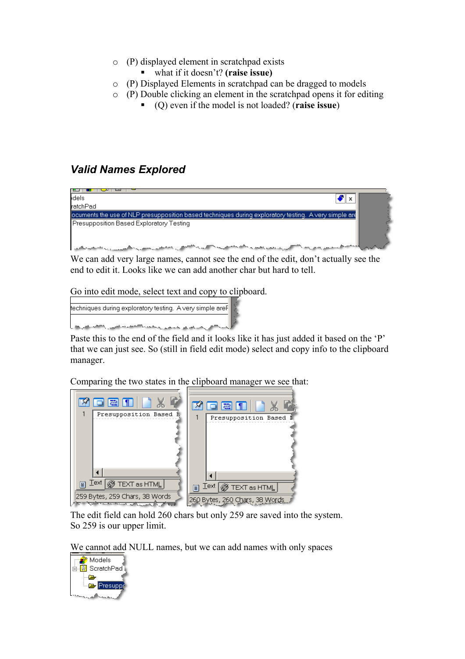- o (P) displayed element in scratchpad exists
	- what if it doesn't? **(raise issue)**
- o (P) Displayed Elements in scratchpad can be dragged to models
- o (P) Double clicking an element in the scratchpad opens it for editing
	- (Q) even if the model is not loaded? (**raise issue**)

### *Valid Names Explored*



We can add very large names, cannot see the end of the edit, don't actually see the end to edit it. Looks like we can add another char but hard to tell.

Go into edit mode, select text and copy to clipboard.

| techniques during exploratory testing. A very simple areF         |  |
|-------------------------------------------------------------------|--|
| المكافي بعد على المستقرر المحمد الكافحة المناسب الكافح العربية ال |  |

Paste this to the end of the field and it looks like it has just added it based on the 'P' that we can just see. So (still in field edit mode) select and copy info to the clipboard manager.

Comparing the two states in the clipboard manager we see that:



The edit field can hold 260 chars but only 259 are saved into the system. So 259 is our upper limit.

We cannot add NULL names, but we can add names with only spaces

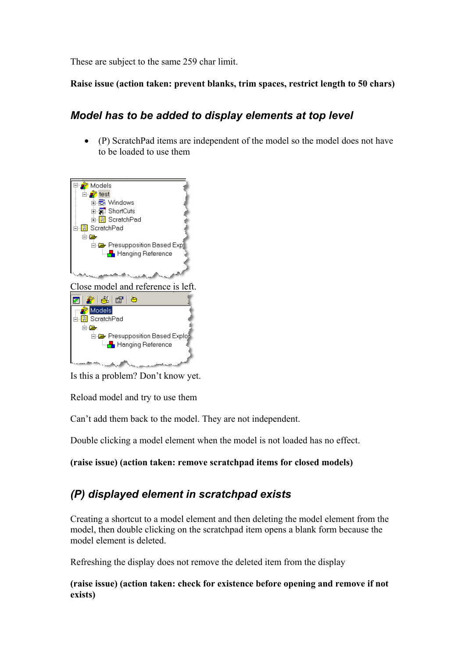These are subject to the same 259 char limit.

#### **Raise issue (action taken: prevent blanks, trim spaces, restrict length to 50 chars)**

### *Model has to be added to display elements at top level*

• (P) ScratchPad items are independent of the model so the model does not have to be loaded to use them



Is this a problem? Don't know yet.

Reload model and try to use them

Can't add them back to the model. They are not independent.

Double clicking a model element when the model is not loaded has no effect.

**(raise issue) (action taken: remove scratchpad items for closed models)** 

## *(P) displayed element in scratchpad exists*

Creating a shortcut to a model element and then deleting the model element from the model, then double clicking on the scratchpad item opens a blank form because the model element is deleted.

Refreshing the display does not remove the deleted item from the display

**(raise issue) (action taken: check for existence before opening and remove if not exists)**